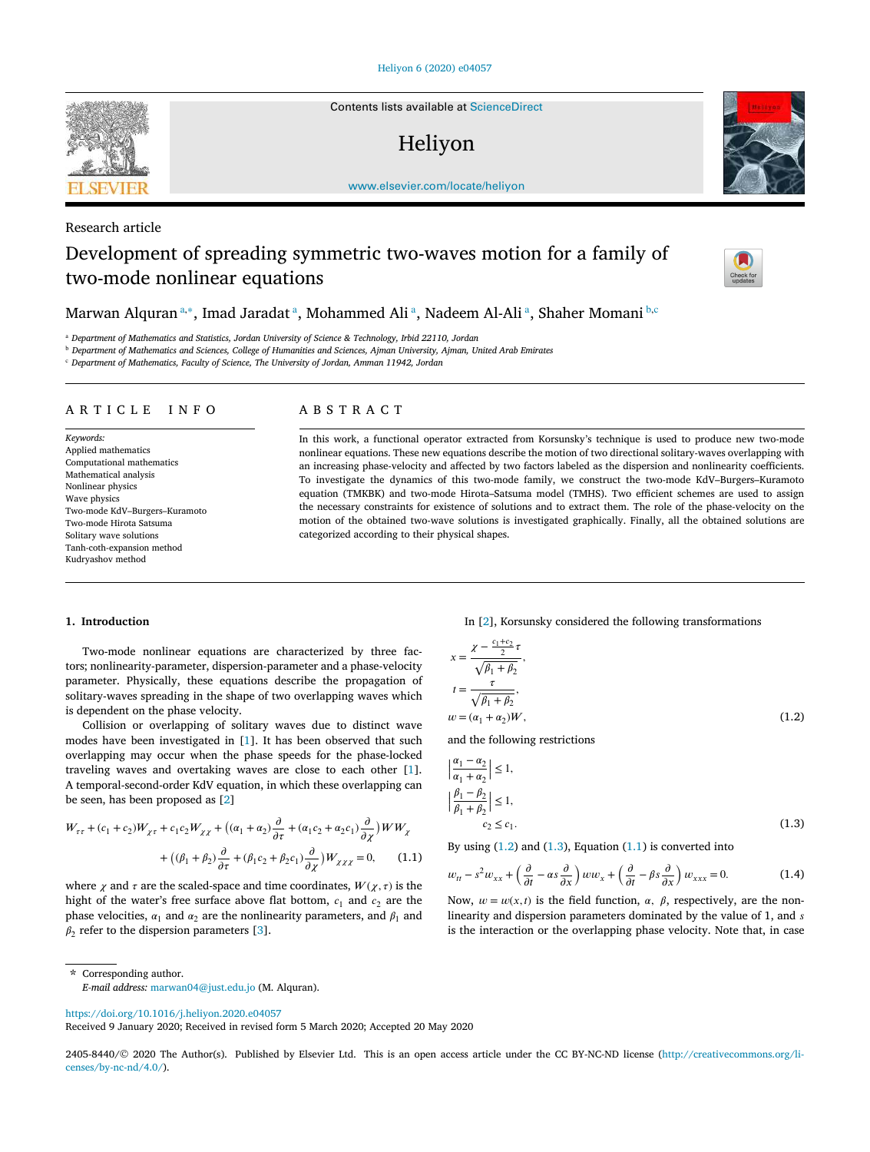Contents lists available at ScienceDirect

# Heliyon



# Research article

# Development of spreading symmetric two-waves motion for a family of two-mode nonlinear equations



Marwan Alquran <sup>a,∗</sup>, Imad Jaradat <sup>a</sup>, Mohammed Ali <sup>a</sup>, Nadeem Al-Ali <sup>a</sup>, Shaher Momani <sup>b,c</sup>

<sup>a</sup> *Department of Mathematics and Statistics, Jordan University of Science & Technology, Irbid 22110, Jordan*

<sup>b</sup> Department of Mathematics and Sciences, College of Humanities and Sciences, Ajman University, Ajman, United Arab Emirates

<sup>c</sup> *Department of Mathematics, Faculty of Science, The University of Jordan, Amman 11942, Jordan*

## ARTICLE INFO ABSTRACT

*Keywords:* Applied mathematics Computational mathematics Mathematical analysis Nonlinear physics Wave physics Two-mode KdV–Burgers–Kuramoto Two-mode Hirota Satsuma Solitary wave solutions Tanh-coth-expansion method Kudryashov method

In this work, a functional operator extracted from Korsunsky's technique is used to produce new two-mode nonlinear equations. These new equations describe the motion of two directional solitary-waves overlapping with an increasing phase-velocity and affected by two factors labeled as the dispersion and nonlinearity coefficients. To investigate the dynamics of this two-mode family, we construct the two-mode KdV–Burgers–Kuramoto equation (TMKBK) and two-mode Hirota–Satsuma model (TMHS). Two efficient schemes are used to assign the necessary constraints for existence of solutions and to extract them. The role of the phase-velocity on the motion of the obtained two-wave solutions is investigated graphically. Finally, all the obtained solutions are categorized according to their physical shapes.

# **1. Introduction**

Two-mode nonlinear equations are characterized by three factors; nonlinearity-parameter, dispersion-parameter and a phase-velocity parameter. Physically, these equations describe the propagation of solitary-waves spreading in the shape of two overlapping waves which is dependent on the phase velocity.

Collision or overlapping of solitary waves due to distinct wave modes have been investigated in [1]. It has been observed that such overlapping may occur when the phase speeds for the phase-locked traveling waves and overtaking waves are close to each other [1]. A temporal-second-order KdV equation, in which these overlapping can be seen, has been proposed as [2]

$$
W_{\tau\tau} + (c_1 + c_2)W_{\chi\tau} + c_1c_2W_{\chi\chi} + ((\alpha_1 + \alpha_2)\frac{\partial}{\partial \tau} + (\alpha_1c_2 + \alpha_2c_1)\frac{\partial}{\partial \chi})WW_{\chi}
$$
  
+ 
$$
((\beta_1 + \beta_2)\frac{\partial}{\partial \tau} + (\beta_1c_2 + \beta_2c_1)\frac{\partial}{\partial \chi})W_{\chi\chi\chi} = 0, \quad (1.1)
$$

where  $\chi$  and  $\tau$  are the scaled-space and time coordinates,  $W(\chi, \tau)$  is the hight of the water's free surface above flat bottom,  $c_1$  and  $c_2$  are the phase velocities,  $\alpha_1$  and  $\alpha_2$  are the nonlinearity parameters, and  $\beta_1$  and  $\beta_2$  refer to the dispersion parameters [3].

In [2], Korsunsky considered the following transformations

$$
x = \frac{\chi - \frac{c_1 + c_2}{2}\tau}{\sqrt{\beta_1 + \beta_2}},
$$
  
\n
$$
t = \frac{\tau}{\sqrt{\beta_1 + \beta_2}},
$$
  
\n
$$
w = (\alpha_1 + \alpha_2)W,
$$
  
\n(1.2)

and the following restrictions

$$
\left|\frac{\alpha_1 - \alpha_2}{\alpha_1 + \alpha_2}\right| \le 1,
$$
  

$$
\left|\frac{\beta_1 - \beta_2}{\beta_1 + \beta_2}\right| \le 1,
$$
  

$$
c_2 \le c_1.
$$
 (1.3)

By using  $(1.2)$  and  $(1.3)$ , Equation  $(1.1)$  is converted into

$$
w_{tt} - s^2 w_{xx} + \left(\frac{\partial}{\partial t} - \alpha s \frac{\partial}{\partial x}\right) w w_x + \left(\frac{\partial}{\partial t} - \beta s \frac{\partial}{\partial x}\right) w_{xxx} = 0.
$$
 (1.4)

Now,  $w = w(x, t)$  is the field function,  $\alpha$ ,  $\beta$ , respectively, are the nonlinearity and dispersion parameters dominated by the value of 1, and s is the interaction or the overlapping phase velocity. Note that, in case

\* Corresponding author.

https://doi.org/10.1016/j.heliyon.2020.e04057

Received 9 January 2020; Received in revised form 5 March 2020; Accepted 20 May 2020



*E-mail address:* marwan04@just.edu.jo (M. Alquran).

<sup>2405-8440/© 2020</sup> The Author(s). Published by Elsevier Ltd. This is an open access article under the CC BY-NC-ND license (http://creativecommons.org/licenses/by-nc-nd/4.0/).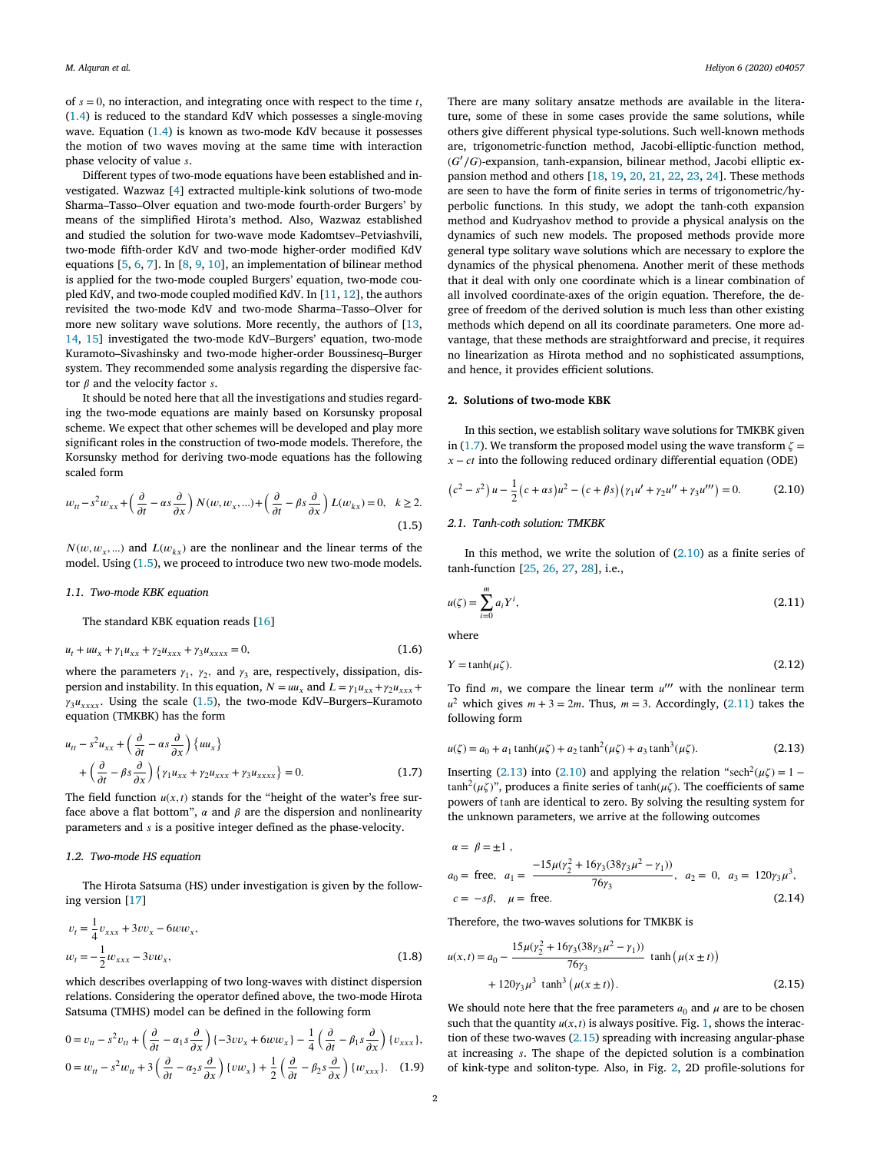of  $s = 0$ , no interaction, and integrating once with respect to the time  $t$ , (1.4) is reduced to the standard KdV which possesses a single-moving wave. Equation (1.4) is known as two-mode KdV because it possesses the motion of two waves moving at the same time with interaction phase velocity of value .

Different types of two-mode equations have been established and investigated. Wazwaz [4] extracted multiple-kink solutions of two-mode Sharma–Tasso–Olver equation and two-mode fourth-order Burgers' by means of the simplified Hirota's method. Also, Wazwaz established and studied the solution for two-wave mode Kadomtsev–Petviashvili, two-mode fifth-order KdV and two-mode higher-order modified KdV equations [5, 6, 7]. In [8, 9, 10], an implementation of bilinear method is applied for the two-mode coupled Burgers' equation, two-mode coupled KdV, and two-mode coupled modified KdV. In [11, 12], the authors revisited the two-mode KdV and two-mode Sharma–Tasso–Olver for more new solitary wave solutions. More recently, the authors of [13, 14, 15] investigated the two-mode KdV–Burgers' equation, two-mode Kuramoto–Sivashinsky and two-mode higher-order Boussinesq–Burger system. They recommended some analysis regarding the dispersive factor  $\beta$  and the velocity factor s.

It should be noted here that all the investigations and studies regarding the two-mode equations are mainly based on Korsunsky proposal scheme. We expect that other schemes will be developed and play more significant roles in the construction of two-mode models. Therefore, the Korsunsky method for deriving two-mode equations has the following scaled form

$$
w_{tt} - s^2 w_{xx} + \left(\frac{\partial}{\partial t} - \alpha s \frac{\partial}{\partial x}\right) N(w, w_x, ...) + \left(\frac{\partial}{\partial t} - \beta s \frac{\partial}{\partial x}\right) L(w_{kx}) = 0, \quad k \ge 2.
$$
\n(1.5)

 $N(w, w_x, ...)$  and  $L(w_{kx})$  are the nonlinear and the linear terms of the model. Using (1.5), we proceed to introduce two new two-mode models.

#### *1.1. Two-mode KBK equation*

The standard KBK equation reads [16]

$$
u_t + uu_x + \gamma_1 u_{xx} + \gamma_2 u_{xxx} + \gamma_3 u_{xxxx} = 0, \tag{1.6}
$$

where the parameters  $\gamma_1$ ,  $\gamma_2$ , and  $\gamma_3$  are, respectively, dissipation, dispersion and instability. In this equation,  $N = uu_x$  and  $L = \gamma_1 u_{xx} + \gamma_2 u_{xxx} +$  $\gamma_3 u_{xxxx}$ . Using the scale (1.5), the two-mode KdV–Burgers–Kuramoto equation (TMKBK) has the form

$$
u_{tt} - s^2 u_{xx} + \left(\frac{\partial}{\partial t} - \alpha s \frac{\partial}{\partial x}\right) \{uu_x\}
$$
  
+ 
$$
\left(\frac{\partial}{\partial t} - \beta s \frac{\partial}{\partial x}\right) \{\gamma_1 u_{xx} + \gamma_2 u_{xxx} + \gamma_3 u_{xxxxx}\} = 0.
$$
 (1.7)

The field function  $u(x, t)$  stands for the "height of the water's free surface above a flat bottom",  $\alpha$  and  $\beta$  are the dispersion and nonlinearity parameters and  $s$  is a positive integer defined as the phase-velocity.

# *1.2. Two-mode HS equation*

The Hirota Satsuma (HS) under investigation is given by the following version [17]

$$
v_t = \frac{1}{4}v_{xxx} + 3vv_x - 6ww_x,
$$
  

$$
w_t = -\frac{1}{2}w_{xxx} - 3vw_x,
$$
 (1.8)

which describes overlapping of two long-waves with distinct dispersion relations. Considering the operator defined above, the two-mode Hirota Satsuma (TMHS) model can be defined in the following form

$$
0 = v_{tt} - s^2 v_{tt} + \left(\frac{\partial}{\partial t} - \alpha_1 s \frac{\partial}{\partial x}\right) \{-3v v_x + 6w w_x\} - \frac{1}{4} \left(\frac{\partial}{\partial t} - \beta_1 s \frac{\partial}{\partial x}\right) \{v_{xxx}\},
$$
  

$$
0 = w_{tt} - s^2 w_{tt} + 3 \left(\frac{\partial}{\partial t} - \alpha_2 s \frac{\partial}{\partial x}\right) \{vw_x\} + \frac{1}{2} \left(\frac{\partial}{\partial t} - \beta_2 s \frac{\partial}{\partial x}\right) \{w_{xxx}\}.
$$
 (1.9)

There are many solitary ansatze methods are available in the literature, some of these in some cases provide the same solutions, while others give different physical type-solutions. Such well-known methods are, trigonometric-function method, Jacobi-elliptic-function method,  $(G'/G)$ -expansion, tanh-expansion, bilinear method, Jacobi elliptic expansion method and others [18, 19, 20, 21, 22, 23, 24]. These methods are seen to have the form of finite series in terms of trigonometric/hyperbolic functions. In this study, we adopt the tanh-coth expansion method and Kudryashov method to provide a physical analysis on the dynamics of such new models. The proposed methods provide more general type solitary wave solutions which are necessary to explore the dynamics of the physical phenomena. Another merit of these methods that it deal with only one coordinate which is a linear combination of all involved coordinate-axes of the origin equation. Therefore, the degree of freedom of the derived solution is much less than other existing methods which depend on all its coordinate parameters. One more advantage, that these methods are straightforward and precise, it requires no linearization as Hirota method and no sophisticated assumptions, and hence, it provides efficient solutions.

#### **2. Solutions of two-mode KBK**

In this section, we establish solitary wave solutions for TMKBK given in (1.7). We transform the proposed model using the wave transform  $\zeta$  =  $x - ct$  into the following reduced ordinary differential equation (ODE)

$$
(c2 - s2) u - \frac{1}{2} (c + \alpha s) u2 - (c + \beta s) (\gamma_1 u' + \gamma_2 u'' + \gamma_3 u''') = 0.
$$
 (2.10)

## *2.1. Tanh-coth solution: TMKBK*

In this method, we write the solution of  $(2.10)$  as a finite series of tanh-function [25, 26, 27, 28], i.e.,

$$
u(\zeta) = \sum_{i=0}^{m} a_i Y^i,
$$
\n(2.11)

where

$$
Y = \tanh(\mu \zeta). \tag{2.12}
$$

To find  $m$ , we compare the linear term  $u'''$  with the nonlinear term  $u^2$  which gives  $m + 3 = 2m$ . Thus,  $m = 3$ . Accordingly, (2.11) takes the following form

$$
u(\zeta) = a_0 + a_1 \tanh(\mu \zeta) + a_2 \tanh^2(\mu \zeta) + a_3 \tanh^3(\mu \zeta).
$$
 (2.13)

Inserting (2.13) into (2.10) and applying the relation "sech<sup>2</sup>( $\mu\zeta$ ) = 1 – tanh<sup>2</sup>( $\mu\zeta$ )", produces a finite series of tanh( $\mu\zeta$ ). The coefficients of same powers of tanh are identical to zero. By solving the resulting system for the unknown parameters, we arrive at the following outcomes

$$
\alpha = \beta = \pm 1 ,
$$
  
\n
$$
a_0 = \text{free}, \quad a_1 = \frac{-15\mu(\gamma_2^2 + 16\gamma_3(38\gamma_3\mu^2 - \gamma_1))}{76\gamma_3}, \quad a_2 = 0, \quad a_3 = 120\gamma_3\mu^3,
$$
  
\n
$$
c = -s\beta, \quad \mu = \text{free.}
$$
\n(2.14)

Therefore, the two-waves solutions for TMKBK is

$$
u(x,t) = a_0 - \frac{15\mu(\gamma_2^2 + 16\gamma_3(38\gamma_3\mu^2 - \gamma_1))}{76\gamma_3} \tanh(\mu(x \pm t)) + 120\gamma_3\mu^3 \tanh^3(\mu(x \pm t)).
$$
\n(2.15)

We should note here that the free parameters  $a_0$  and  $\mu$  are to be chosen such that the quantity  $u(x, t)$  is always positive. Fig. 1, shows the interaction of these two-waves  $(2.15)$  spreading with increasing angular-phase at increasing . The shape of the depicted solution is a combination of kink-type and soliton-type. Also, in Fig. 2, 2D profile-solutions for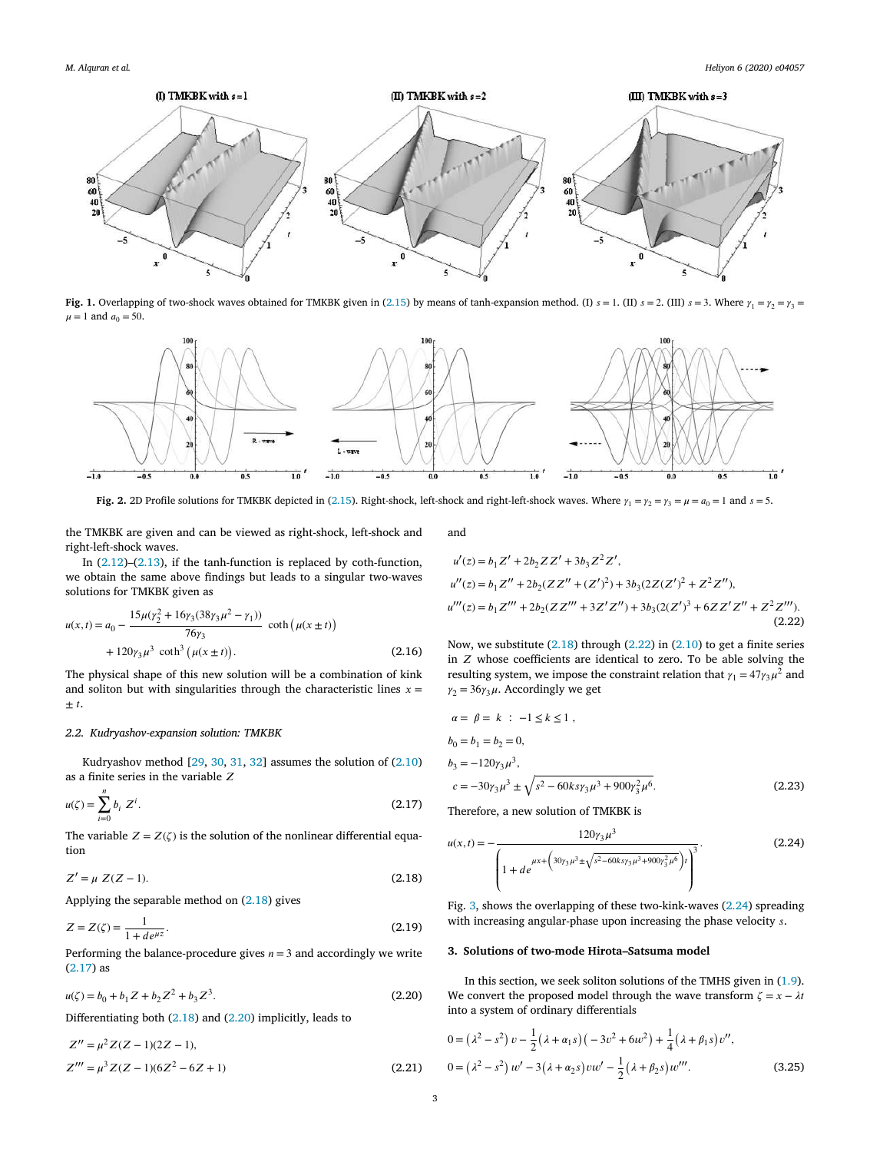

**Fig. 1.** Overlapping of two-shock waves obtained for TMKBK given in (2.15) by means of tanh-expansion method. (I)  $s = 1$ . (II)  $s = 2$ . (III)  $s = 3$ . Where  $\gamma_1 = \gamma_2 = \gamma_3 = 3$  $\mu = 1$  and  $a_0 = 50$ .



**Fig. 2.** 2D Profile solutions for TMKBK depicted in (2.15). Right-shock, left-shock and right-left-shock waves. Where  $\gamma_1 = \gamma_2 = \gamma_3 = \mu = a_0 = 1$  and  $s = 5$ .

the TMKBK are given and can be viewed as right-shock, left-shock and right-left-shock waves.

In  $(2.12)$ – $(2.13)$ , if the tanh-function is replaced by coth-function, we obtain the same above findings but leads to a singular two-waves solutions for TMKBK given as

$$
u(x,t) = a_0 - \frac{15\mu(\gamma_2^2 + 16\gamma_3(38\gamma_3\mu^2 - \gamma_1))}{76\gamma_3} \coth(\mu(x \pm t)) + 120\gamma_3\mu^3 \coth^3(\mu(x \pm t)).
$$
\n(2.16)

The physical shape of this new solution will be a combination of kink and soliton but with singularities through the characteristic lines  $x =$  $\pm t$ .

#### *2.2. Kudryashov-expansion solution: TMKBK*

Kudryashov method [29, 30, 31, 32] assumes the solution of (2.10) as a finite series in the variable  $\boldsymbol{Z}$ 

$$
u(\zeta) = \sum_{i=0}^{n} b_i \ Z^i.
$$
 (2.17)

The variable  $Z = Z(\zeta)$  is the solution of the nonlinear differential equation

$$
Z' = \mu \ Z(Z - 1). \tag{2.18}
$$

Applying the separable method on (2.18) gives

$$
Z = Z(\zeta) = \frac{1}{1 + d e^{\mu z}}.\tag{2.19}
$$

Performing the balance-procedure gives  $n = 3$  and accordingly we write (2.17) as

$$
u(\zeta) = b_0 + b_1 Z + b_2 Z^2 + b_3 Z^3.
$$
 (2.20)

Differentiating both (2.18) and (2.20) implicitly, leads to

$$
Z'' = \mu^2 Z(Z - 1)(2Z - 1),
$$
  
\n
$$
Z''' = \mu^3 Z(Z - 1)(6Z^2 - 6Z + 1)
$$
\n(2.21)

and

$$
u'(z) = b_1 Z' + 2b_2 Z Z' + 3b_3 Z^2 Z',
$$
  
\n
$$
u''(z) = b_1 Z'' + 2b_2 (Z Z'' + (Z')^2) + 3b_3 (2Z (Z')^2 + Z^2 Z''),
$$
  
\n
$$
u'''(z) = b_1 Z''' + 2b_2 (Z Z''' + 3Z' Z'') + 3b_3 (2(Z')^3 + 6Z Z' Z'' + Z^2 Z'').
$$
\n(2.22)

Now, we substitute  $(2.18)$  through  $(2.22)$  in  $(2.10)$  to get a finite series in  $Z$  whose coefficients are identical to zero. To be able solving the resulting system, we impose the constraint relation that  $\gamma_1 = 47 \gamma_3 \mu^2$  and  $\gamma_2 = 36\gamma_3\mu$ . Accordingly we get

$$
\alpha = \beta = k : -1 \le k \le 1,
$$
  
\n
$$
b_0 = b_1 = b_2 = 0,
$$
  
\n
$$
b_3 = -120\gamma_3 \mu^3,
$$
  
\n
$$
c = -30\gamma_3 \mu^3 \pm \sqrt{s^2 - 60ks\gamma_3 \mu^3 + 900\gamma_3^2 \mu^6}.
$$
\n(2.23)

Therefore, a new solution of TMKBK is

$$
u(x,t) = -\frac{120\gamma_3\mu^3}{\left(1 + de^{ \mu x + \left(30\gamma_3\mu^3 \pm \sqrt{s^2 - 60k s \gamma_3\mu^3 + 900\gamma_3^2\mu^6}\right)t\right)^3}.
$$
 (2.24)

Fig. 3, shows the overlapping of these two-kink-waves (2.24) spreading with increasing angular-phase upon increasing the phase velocity  $s$ .

#### **3. Solutions of two-mode Hirota–Satsuma model**

In this section, we seek soliton solutions of the TMHS given in (1.9). We convert the proposed model through the wave transform  $\zeta = x - \lambda t$ into a system of ordinary differentials

$$
0 = (\lambda^2 - s^2) v - \frac{1}{2} (\lambda + \alpha_1 s) (-3v^2 + 6w^2) + \frac{1}{4} (\lambda + \beta_1 s) v'',
$$
  

$$
0 = (\lambda^2 - s^2) w' - 3(\lambda + \alpha_2 s) vw' - \frac{1}{2} (\lambda + \beta_2 s) w'''.
$$
 (3.25)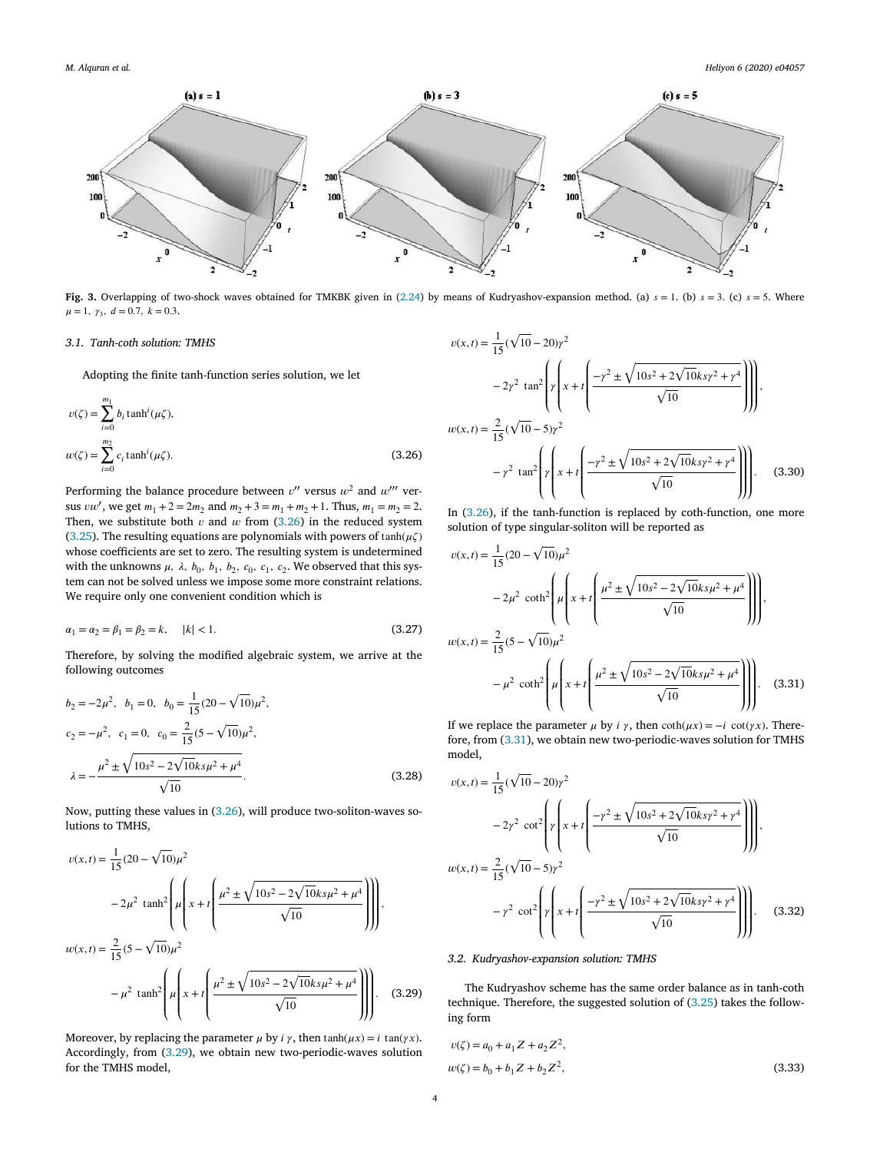

Fig. 3. Overlapping of two-shock waves obtained for TMKBK given in (2.24) by means of Kudryashov-expansion method. (a)  $s = 1$ . (b)  $s = 3$ . (c)  $s = 5$ . Where  $\mu = 1, \gamma_3, d = 0.7, k = 0.3.$ 

# *3.1. Tanh-coth solution: TMHS*

Adopting the finite tanh-function series solution, we let

$$
v(\zeta) = \sum_{i=0}^{m_1} b_i \tanh^i(\mu \zeta),
$$
  

$$
w(\zeta) = \sum_{i=0}^{m_2} c_i \tanh^i(\mu \zeta).
$$
 (3.26)

Performing the balance procedure between  $v''$  versus  $w^2$  and  $w'''$  versus *vw'*, we get  $m_1 + 2 = 2m_2$  and  $m_2 + 3 = m_1 + m_2 + 1$ . Thus,  $m_1 = m_2 = 2$ . Then, we substitute both  $v$  and  $w$  from (3.26) in the reduced system (3.25). The resulting equations are polynomials with powers of  $tanh(\mu\zeta)$ whose coefficients are set to zero. The resulting system is undetermined with the unknowns  $\mu$ ,  $\lambda$ ,  $b_0$ ,  $b_1$ ,  $b_2$ ,  $c_0$ ,  $c_1$ ,  $c_2$ . We observed that this system can not be solved unless we impose some more constraint relations. We require only one convenient condition which is

$$
\alpha_1 = \alpha_2 = \beta_1 = \beta_2 = k, \quad |k| < 1. \tag{3.27}
$$

Therefore, by solving the modified algebraic system, we arrive at the following outcomes

$$
b_2 = -2\mu^2, \quad b_1 = 0, \quad b_0 = \frac{1}{15}(20 - \sqrt{10})\mu^2,
$$
  
\n
$$
c_2 = -\mu^2, \quad c_1 = 0, \quad c_0 = \frac{2}{15}(5 - \sqrt{10})\mu^2,
$$
  
\n
$$
\lambda = -\frac{\mu^2 \pm \sqrt{10s^2 - 2\sqrt{10}ks\mu^2 + \mu^4}}{\sqrt{10}}.
$$
\n(3.28)

Now, putting these values in (3.26), will produce two-soliton-waves solutions to TMHS,

$$
v(x,t) = \frac{1}{15}(20 - \sqrt{10})\mu^2
$$
  

$$
-2\mu^2 \tanh^2 \left( \mu \left( x + t \left( \frac{\mu^2 \pm \sqrt{10s^2 - 2\sqrt{10}ks\mu^2 + \mu^4}}{\sqrt{10}} \right) \right) \right),
$$
  

$$
w(x,t) = \frac{2}{15}(5 - \sqrt{10})\mu^2
$$
  

$$
-\mu^2 \tanh^2 \left( \mu \left( x + t \left( \frac{\mu^2 \pm \sqrt{10s^2 - 2\sqrt{10}ks\mu^2 + \mu^4}}{\sqrt{10}} \right) \right) \right).
$$
 (3.29)

Moreover, by replacing the parameter  $\mu$  by  $i \gamma$ , then  $tanh(\mu x) = i \tan(\gamma x)$ . Accordingly, from (3.29), we obtain new two-periodic-waves solution for the TMHS model,

$$
v(x,t) = \frac{1}{15}(\sqrt{10} - 20)\gamma^2
$$
  

$$
-2\gamma^2 \tan^2 \left[\gamma \left(x + t\left(\frac{-\gamma^2 \pm \sqrt{10s^2 + 2\sqrt{10ks\gamma^2 + \gamma^4}}}{\sqrt{10}}\right)\right)\right],
$$
  

$$
w(x,t) = \frac{2}{15}(\sqrt{10} - 5)\gamma^2
$$
  

$$
-\gamma^2 \tan^2 \left[\gamma \left(x + t\left(\frac{-\gamma^2 \pm \sqrt{10s^2 + 2\sqrt{10ks\gamma^2 + \gamma^4}}}{\sqrt{10}}\right)\right)\right].
$$
 (3.30)

In (3.26), if the tanh-function is replaced by coth-function, one more solution of type singular-soliton will be reported as

$$
v(x,t) = \frac{1}{15}(20 - \sqrt{10})\mu^2
$$
  

$$
-2\mu^2 \coth^2 \left(\mu \left(x + t \left(\frac{\mu^2 \pm \sqrt{10s^2 - 2\sqrt{10}ks\mu^2 + \mu^4}}{\sqrt{10}}\right)\right)\right),
$$
  

$$
w(x,t) = \frac{2}{15}(5 - \sqrt{10})\mu^2
$$
  

$$
-\mu^2 \coth^2 \left(\mu \left(x + t \left(\frac{\mu^2 \pm \sqrt{10s^2 - 2\sqrt{10}ks\mu^2 + \mu^4}}{\sqrt{10}}\right)\right)\right).
$$
 (3.31)

If we replace the parameter  $\mu$  by  $i \gamma$ , then  $\coth(\mu x) = -i \cot(\gamma x)$ . Therefore, from (3.31), we obtain new two-periodic-waves solution for TMHS model,

$$
v(x,t) = \frac{1}{15}(\sqrt{10} - 20)\gamma^2
$$
  

$$
-2\gamma^2 \cot^2 \left(\gamma \left(x + t\left(\frac{-\gamma^2 \pm \sqrt{10s^2 + 2\sqrt{10ks\gamma^2 + \gamma^4}}}{\sqrt{10}}\right)\right)\right),
$$
  

$$
w(x,t) = \frac{2}{15}(\sqrt{10} - 5)\gamma^2
$$
  

$$
-\gamma^2 \cot^2 \left(\gamma \left(x + t\left(\frac{-\gamma^2 \pm \sqrt{10s^2 + 2\sqrt{10ks\gamma^2 + \gamma^4}}}{\sqrt{10}}\right)\right)\right).
$$
(3.32)

# *3.2. Kudryashov-expansion solution: TMHS*

The Kudryashov scheme has the same order balance as in tanh-coth technique. Therefore, the suggested solution of (3.25) takes the following form

$$
v(\zeta) = a_0 + a_1 Z + a_2 Z^2,
$$
  
\n
$$
w(\zeta) = b_0 + b_1 Z + b_2 Z^2,
$$
\n(3.33)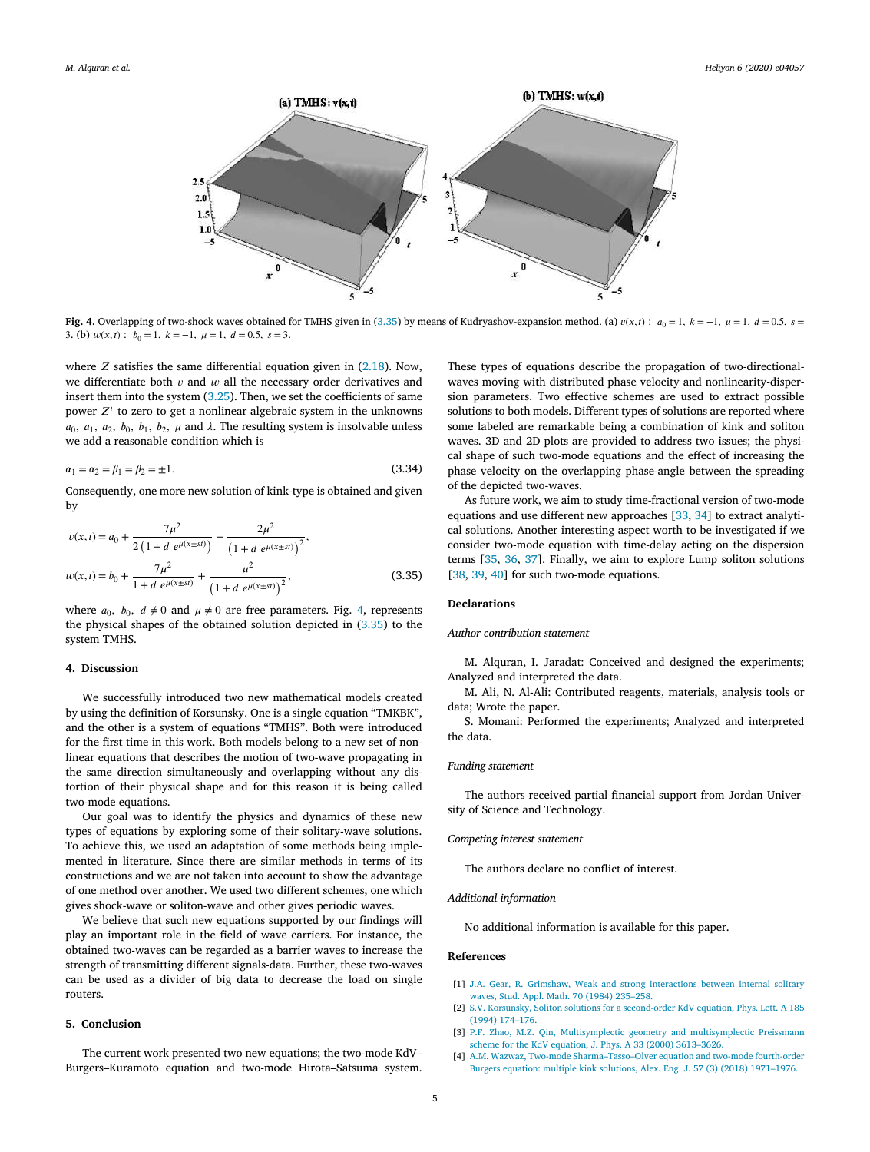

**Fig. 4.** Overlapping of two-shock waves obtained for TMHS given in (3.35) by means of Kudryashov-expansion method. (a)  $v(x,t)$ :  $a_0 = 1$ ,  $k = -1$ ,  $\mu = 1$ ,  $d = 0.5$ ,  $s = 0.5$ 3. (b)  $w(x, t)$ :  $b_0 = 1$ ,  $k = -1$ ,  $\mu = 1$ ,  $d = 0.5$ ,  $s = 3$ .

where  $Z$  satisfies the same differential equation given in (2.18). Now, we differentiate both  $v$  and  $w$  all the necessary order derivatives and insert them into the system (3.25). Then, we set the coefficients of same power  $Z<sup>i</sup>$  to zero to get a nonlinear algebraic system in the unknowns  $a_0$ ,  $a_1$ ,  $a_2$ ,  $b_0$ ,  $b_1$ ,  $b_2$ ,  $\mu$  and  $\lambda$ . The resulting system is insolvable unless we add a reasonable condition which is

$$
\alpha_1 = \alpha_2 = \beta_1 = \beta_2 = \pm 1. \tag{3.34}
$$

Consequently, one more new solution of kink-type is obtained and given by

$$
v(x,t) = a_0 + \frac{7\mu^2}{2\left(1+d e^{\mu(x\pm st)}\right)} - \frac{2\mu^2}{\left(1+d e^{\mu(x\pm st)}\right)^2},
$$
  

$$
w(x,t) = b_0 + \frac{7\mu^2}{1+d e^{\mu(x\pm st)}} + \frac{\mu^2}{\left(1+d e^{\mu(x\pm st)}\right)^2},
$$
(3.35)

where  $a_0$ ,  $b_0$ ,  $d \neq 0$  and  $\mu \neq 0$  are free parameters. Fig. 4, represents the physical shapes of the obtained solution depicted in (3.35) to the system TMHS.

#### **4. Discussion**

We successfully introduced two new mathematical models created by using the definition of Korsunsky. One is a single equation "TMKBK", and the other is a system of equations "TMHS". Both were introduced for the first time in this work. Both models belong to a new set of nonlinear equations that describes the motion of two-wave propagating in the same direction simultaneously and overlapping without any distortion of their physical shape and for this reason it is being called two-mode equations.

Our goal was to identify the physics and dynamics of these new types of equations by exploring some of their solitary-wave solutions. To achieve this, we used an adaptation of some methods being implemented in literature. Since there are similar methods in terms of its constructions and we are not taken into account to show the advantage of one method over another. We used two different schemes, one which gives shock-wave or soliton-wave and other gives periodic waves.

We believe that such new equations supported by our findings will play an important role in the field of wave carriers. For instance, the obtained two-waves can be regarded as a barrier waves to increase the strength of transmitting different signals-data. Further, these two-waves can be used as a divider of big data to decrease the load on single routers.

## **5. Conclusion**

The current work presented two new equations; the two-mode KdV– Burgers–Kuramoto equation and two-mode Hirota–Satsuma system. These types of equations describe the propagation of two-directionalwaves moving with distributed phase velocity and nonlinearity-dispersion parameters. Two effective schemes are used to extract possible solutions to both models. Different types of solutions are reported where some labeled are remarkable being a combination of kink and soliton waves. 3D and 2D plots are provided to address two issues; the physical shape of such two-mode equations and the effect of increasing the phase velocity on the overlapping phase-angle between the spreading of the depicted two-waves.

As future work, we aim to study time-fractional version of two-mode equations and use different new approaches [33, 34] to extract analytical solutions. Another interesting aspect worth to be investigated if we consider two-mode equation with time-delay acting on the dispersion terms [35, 36, 37]. Finally, we aim to explore Lump soliton solutions [38, 39, 40] for such two-mode equations.

# **Declarations**

#### *Author contribution statement*

M. Alquran, I. Jaradat: Conceived and designed the experiments; Analyzed and interpreted the data.

M. Ali, N. Al-Ali: Contributed reagents, materials, analysis tools or data; Wrote the paper.

S. Momani: Performed the experiments; Analyzed and interpreted the data.

#### *Funding statement*

The authors received partial financial support from Jordan University of Science and Technology.

# *Competing interest statement*

The authors declare no conflict of interest.

#### *Additional information*

No additional information is available for this paper.

#### **References**

- [1] J.A. Gear, R. Grimshaw, Weak and strong interactions between internal solitary waves, Stud. Appl. Math. 70 (1984) 235–258.
- [2] S.V. Korsunsky, Soliton solutions for a second-order KdV equation, Phys. Lett. A 185 (1994) 174–176.
- [3] P.F. Zhao, M.Z. Qin, Multisymplectic geometry and multisymplectic Preissmann scheme for the KdV equation, J. Phys. A 33 (2000) 3613–3626.
- [4] A.M. Wazwaz, Two-mode Sharma–Tasso–Olver equation and two-mode fourth-order Burgers equation: multiple kink solutions, Alex. Eng. J. 57 (3) (2018) 1971–1976.